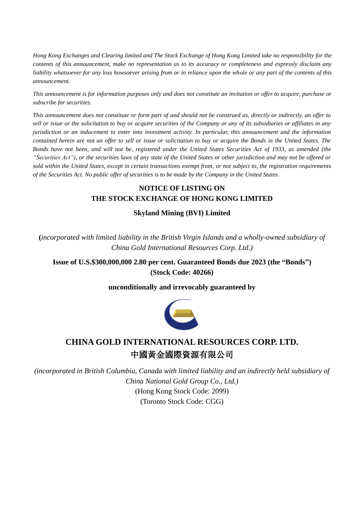*Hong Kong Exchanges and Clearing limited and The Stock Exchange of Hong Kong Limited take no responsibility for the contents of this announcement, make no representation as to its accuracy or completeness and expressly disclaim any liability whatsoever for any loss howsoever arising from or in reliance upon the whole or any part of the contents of this announcement.* 

*This announcement is for information purposes only and does not constitute an invitation or offer to acquire, purchase or subscribe for securities.*

*This announcement does not constitute or form part of and should not be construed as, directly or indirectly, an offer to sell or issue or the solicitation to buy or acquire securities of the Company or any of its subsidiaries or affiliates in any jurisdiction or an inducement to enter into investment activity. In particular, this announcement and the information contained herein are not an offer to sell or issue or solicitation to buy or acquire the Bonds in the United States. The Bonds have not been, and will not be, registered under the United States Securities Act of 1933, as amended (the "Securities Act"), or the securities laws of any state of the United States or other jurisdiction and may not be offered or sold within the United States, except in certain transactions exempt from, or not subject to, the registration requirements of the Securities Act. No public offer of securities is to be made by the Company in the United States.*

## **NOTICE OF LISTING ON THE STOCK EXCHANGE OF HONG KONG LIMITED**

**Skyland Mining (BVI) Limited**

**(***incorporated with limited liability in the British Virgin Islands and a wholly-owned subsidiary of China Gold International Resources Corp. Ltd.)*

**Issue of U.S.\$300,000,000 2.80 per cent. Guaranteed Bonds due 2023 (the "Bonds") (Stock Code: 40266)**

**unconditionally and irrevocably guaranteed by**



## **CHINA GOLD INTERNATIONAL RESOURCES CORP. LTD.** 中國黃金國際資源有限公司

*(incorporated in British Columbia, Canada with limited liability and an indirectly held subsidiary of China National Gold Group Co., Ltd.)*

> (Hong Kong Stock Code: 2099) (Toronto Stock Code: CGG)